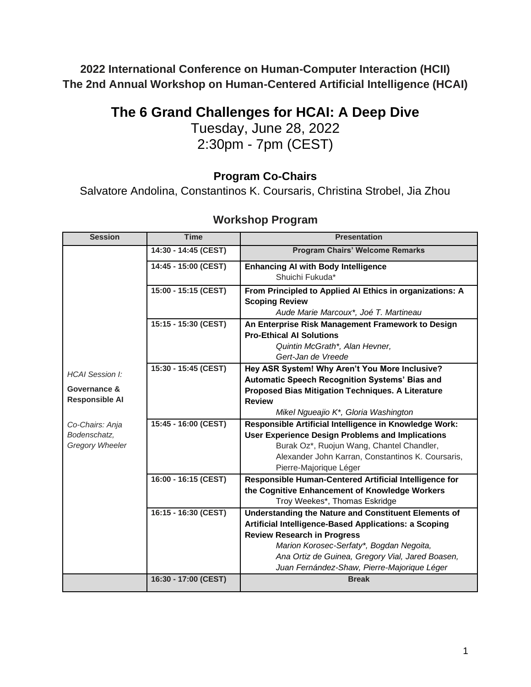**2022 International Conference on Human-Computer Interaction (HCII) The 2nd Annual Workshop on Human-Centered Artificial Intelligence (HCAI)**

# **The 6 Grand Challenges for HCAI: A Deep Dive**

Tuesday, June 28, 2022 2:30pm - 7pm (CEST)

# **Program Co-Chairs**

Salvatore Andolina, Constantinos K. Coursaris, Christina Strobel, Jia Zhou

| <b>Session</b>                         | <b>Time</b>          | <b>Presentation</b>                                      |
|----------------------------------------|----------------------|----------------------------------------------------------|
| <b>HCAI Session I:</b>                 | 14:30 - 14:45 (CEST) | <b>Program Chairs' Welcome Remarks</b>                   |
|                                        | 14:45 - 15:00 (CEST) | <b>Enhancing AI with Body Intelligence</b>               |
|                                        |                      | Shuichi Fukuda*                                          |
|                                        | 15:00 - 15:15 (CEST) | From Principled to Applied Al Ethics in organizations: A |
|                                        |                      | <b>Scoping Review</b>                                    |
|                                        |                      | Aude Marie Marcoux*, Joé T. Martineau                    |
|                                        | 15:15 - 15:30 (CEST) | An Enterprise Risk Management Framework to Design        |
|                                        |                      | <b>Pro-Ethical Al Solutions</b>                          |
|                                        |                      | Quintin McGrath*, Alan Hevner,                           |
|                                        |                      | Gert-Jan de Vreede                                       |
|                                        | 15:30 - 15:45 (CEST) | Hey ASR System! Why Aren't You More Inclusive?           |
|                                        |                      | Automatic Speech Recognition Systems' Bias and           |
| Governance &                           |                      | Proposed Bias Mitigation Techniques. A Literature        |
| <b>Responsible AI</b>                  |                      | <b>Review</b>                                            |
|                                        |                      | Mikel Ngueajio K*, Gloria Washington                     |
| Co-Chairs: Anja                        | 15:45 - 16:00 (CEST) | Responsible Artificial Intelligence in Knowledge Work:   |
| Bodenschatz,<br><b>Gregory Wheeler</b> |                      | <b>User Experience Design Problems and Implications</b>  |
|                                        |                      | Burak Oz*, Ruojun Wang, Chantel Chandler,                |
|                                        |                      | Alexander John Karran, Constantinos K. Coursaris,        |
|                                        |                      | Pierre-Majorique Léger                                   |
|                                        | 16:00 - 16:15 (CEST) | Responsible Human-Centered Artificial Intelligence for   |
|                                        |                      | the Cognitive Enhancement of Knowledge Workers           |
|                                        |                      | Troy Weekes*, Thomas Eskridge                            |
|                                        | 16:15 - 16:30 (CEST) | Understanding the Nature and Constituent Elements of     |
|                                        |                      | Artificial Intelligence-Based Applications: a Scoping    |
|                                        |                      | <b>Review Research in Progress</b>                       |
|                                        |                      | Marion Korosec-Serfaty*, Bogdan Negoita,                 |
|                                        |                      | Ana Ortiz de Guinea, Gregory Vial, Jared Boasen,         |
|                                        |                      | Juan Fernández-Shaw, Pierre-Majorique Léger              |
|                                        | 16:30 - 17:00 (CEST) | <b>Break</b>                                             |

# **Workshop Program**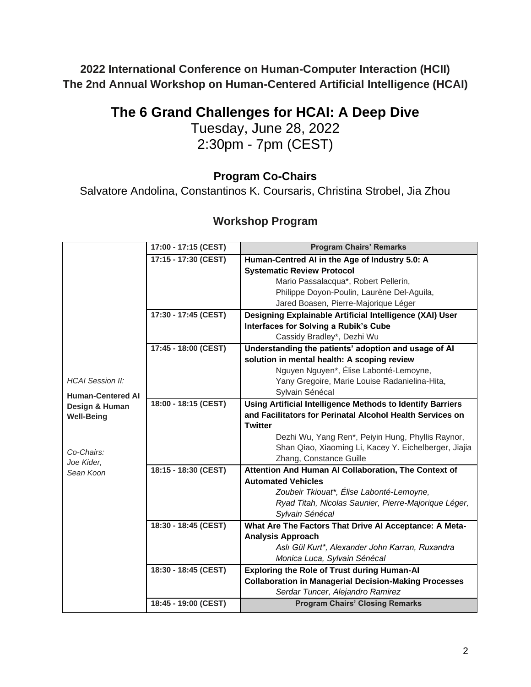**2022 International Conference on Human-Computer Interaction (HCII) The 2nd Annual Workshop on Human-Centered Artificial Intelligence (HCAI)**

# **The 6 Grand Challenges for HCAI: A Deep Dive**

Tuesday, June 28, 2022 2:30pm - 7pm (CEST)

# **Program Co-Chairs**

Salvatore Andolina, Constantinos K. Coursaris, Christina Strobel, Jia Zhou

# **Workshop Program**

|                          | 17:00 - 17:15 (CEST) | <b>Program Chairs' Remarks</b>                                    |
|--------------------------|----------------------|-------------------------------------------------------------------|
|                          | 17:15 - 17:30 (CEST) | Human-Centred AI in the Age of Industry 5.0: A                    |
|                          |                      | <b>Systematic Review Protocol</b>                                 |
|                          |                      | Mario Passalacqua*, Robert Pellerin,                              |
|                          |                      | Philippe Doyon-Poulin, Laurène Del-Aguila,                        |
|                          |                      | Jared Boasen, Pierre-Majorique Léger                              |
|                          | 17:30 - 17:45 (CEST) | Designing Explainable Artificial Intelligence (XAI) User          |
|                          |                      | <b>Interfaces for Solving a Rubik's Cube</b>                      |
|                          |                      | Cassidy Bradley*, Dezhi Wu                                        |
|                          | 17:45 - 18:00 (CEST) | Understanding the patients' adoption and usage of Al              |
|                          |                      | solution in mental health: A scoping review                       |
|                          |                      | Nguyen Nguyen*, Élise Labonté-Lemoyne,                            |
| <b>HCAI Session II:</b>  |                      | Yany Gregoire, Marie Louise Radanielina-Hita,                     |
| <b>Human-Centered AI</b> |                      | Sylvain Sénécal                                                   |
| Design & Human           | 18:00 - 18:15 (CEST) | <b>Using Artificial Intelligence Methods to Identify Barriers</b> |
| <b>Well-Being</b>        |                      | and Facilitators for Perinatal Alcohol Health Services on         |
|                          |                      | <b>Twitter</b>                                                    |
|                          |                      | Dezhi Wu, Yang Ren*, Peiyin Hung, Phyllis Raynor,                 |
| Co-Chairs:               |                      | Shan Qiao, Xiaoming Li, Kacey Y. Eichelberger, Jiajia             |
| Joe Kider,               |                      | Zhang, Constance Guille                                           |
| Sean Koon                | 18:15 - 18:30 (CEST) | Attention And Human Al Collaboration, The Context of              |
|                          |                      | <b>Automated Vehicles</b>                                         |
|                          |                      | Zoubeir Tkiouat*, Élise Labonté-Lemoyne,                          |
|                          |                      | Ryad Titah, Nicolas Saunier, Pierre-Majorique Léger,              |
|                          |                      | Sylvain Sénécal                                                   |
|                          | 18:30 - 18:45 (CEST) | What Are The Factors That Drive Al Acceptance: A Meta-            |
|                          |                      | <b>Analysis Approach</b>                                          |
|                          |                      | Aslı Gül Kurt*, Alexander John Karran, Ruxandra                   |
|                          |                      | Monica Luca, Sylvain Sénécal                                      |
|                          | 18:30 - 18:45 (CEST) | <b>Exploring the Role of Trust during Human-Al</b>                |
|                          |                      | <b>Collaboration in Managerial Decision-Making Processes</b>      |
|                          |                      | Serdar Tuncer, Alejandro Ramirez                                  |
|                          | 18:45 - 19:00 (CEST) | <b>Program Chairs' Closing Remarks</b>                            |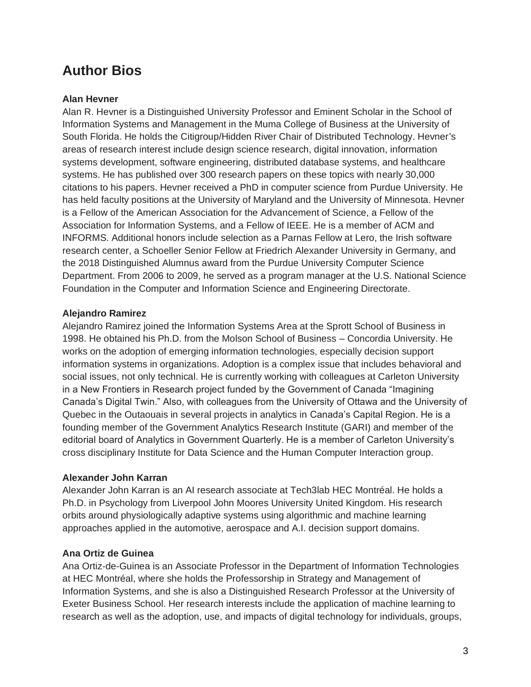# **Author Bios**

# **Alan Hevner**

Alan R. Hevner is a Distinguished University Professor and Eminent Scholar in the School of Information Systems and Management in the Muma College of Business at the University of South Florida. He holds the Citigroup/Hidden River Chair of Distributed Technology. Hevner's areas of research interest include design science research, digital innovation, information systems development, software engineering, distributed database systems, and healthcare systems. He has published over 300 research papers on these topics with nearly 30,000 citations to his papers. Hevner received a PhD in computer science from Purdue University. He has held faculty positions at the University of Maryland and the University of Minnesota. Hevner is a Fellow of the American Association for the Advancement of Science, a Fellow of the Association for Information Systems, and a Fellow of IEEE. He is a member of ACM and INFORMS. Additional honors include selection as a Parnas Fellow at Lero, the Irish software research center, a Schoeller Senior Fellow at Friedrich Alexander University in Germany, and the 2018 Distinguished Alumnus award from the Purdue University Computer Science Department. From 2006 to 2009, he served as a program manager at the U.S. National Science Foundation in the Computer and Information Science and Engineering Directorate.

#### **Alejandro Ramirez**

Alejandro Ramirez joined the Information Systems Area at the Sprott School of Business in 1998. He obtained his Ph.D. from the Molson School of Business – Concordia University. He works on the adoption of emerging information technologies, especially decision support information systems in organizations. Adoption is a complex issue that includes behavioral and social issues, not only technical. He is currently working with colleagues at Carleton University in a New Frontiers in Research project funded by the Government of Canada "Imagining Canada's Digital Twin." Also, with colleagues from the University of Ottawa and the University of Quebec in the Outaouais in several projects in analytics in Canada's Capital Region. He is a founding member of the Government Analytics Research Institute (GARI) and member of the editorial board of Analytics in Government Quarterly. He is a member of Carleton University's cross disciplinary Institute for Data Science and the Human Computer Interaction group.

#### **Alexander John Karran**

Alexander John Karran is an AI research associate at Tech3lab HEC Montréal. He holds a Ph.D. in Psychology from Liverpool John Moores University United Kingdom. His research orbits around physiologically adaptive systems using algorithmic and machine learning approaches applied in the automotive, aerospace and A.I. decision support domains.

#### **Ana Ortiz de Guinea**

Ana Ortiz-de-Guinea is an Associate Professor in the Department of Information Technologies at HEC Montréal, where she holds the Professorship in Strategy and Management of Information Systems, and she is also a Distinguished Research Professor at the University of Exeter Business School. Her research interests include the application of machine learning to research as well as the adoption, use, and impacts of digital technology for individuals, groups,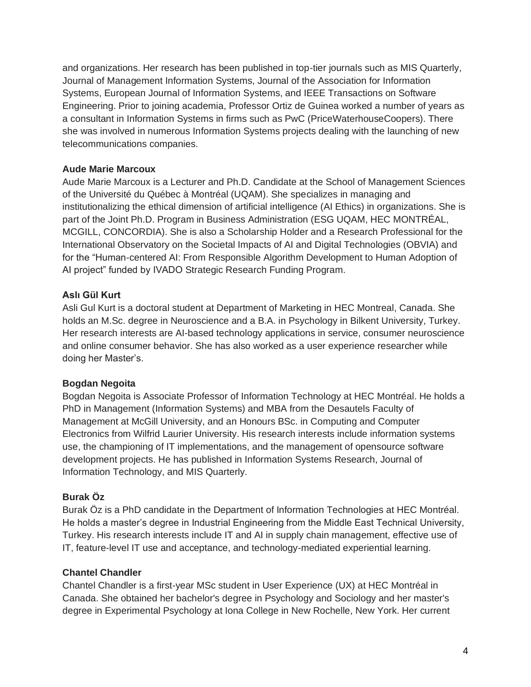and organizations. Her research has been published in top-tier journals such as MIS Quarterly, Journal of Management Information Systems, Journal of the Association for Information Systems, European Journal of Information Systems, and IEEE Transactions on Software Engineering. Prior to joining academia, Professor Ortiz de Guinea worked a number of years as a consultant in Information Systems in firms such as PwC (PriceWaterhouseCoopers). There she was involved in numerous Information Systems projects dealing with the launching of new telecommunications companies.

#### **Aude Marie Marcoux**

Aude Marie Marcoux is a Lecturer and Ph.D. Candidate at the School of Management Sciences of the Université du Québec à Montréal (UQAM). She specializes in managing and institutionalizing the ethical dimension of artificial intelligence (AI Ethics) in organizations. She is part of the Joint Ph.D. Program in Business Administration (ESG UQAM, HEC MONTRÉAL, MCGILL, CONCORDIA). She is also a Scholarship Holder and a Research Professional for the International Observatory on the Societal Impacts of AI and Digital Technologies (OBVIA) and for the "Human-centered AI: From Responsible Algorithm Development to Human Adoption of AI project" funded by IVADO Strategic Research Funding Program.

# **Aslı Gül Kurt**

Asli Gul Kurt is a doctoral student at Department of Marketing in HEC Montreal, Canada. She holds an M.Sc. degree in Neuroscience and a B.A. in Psychology in Bilkent University, Turkey. Her research interests are AI-based technology applications in service, consumer neuroscience and online consumer behavior. She has also worked as a user experience researcher while doing her Master's.

# **Bogdan Negoita**

Bogdan Negoita is Associate Professor of Information Technology at HEC Montréal. He holds a PhD in Management (Information Systems) and MBA from the Desautels Faculty of Management at McGill University, and an Honours BSc. in Computing and Computer Electronics from Wilfrid Laurier University. His research interests include information systems use, the championing of IT implementations, and the management of opensource software development projects. He has published in Information Systems Research, Journal of Information Technology, and MIS Quarterly.

# **Burak Öz**

Burak Öz is a PhD candidate in the Department of Information Technologies at HEC Montréal. He holds a master's degree in Industrial Engineering from the Middle East Technical University, Turkey. His research interests include IT and AI in supply chain management, effective use of IT, feature-level IT use and acceptance, and technology-mediated experiential learning.

# **Chantel Chandler**

Chantel Chandler is a first-year MSc student in User Experience (UX) at HEC Montréal in Canada. She obtained her bachelor's degree in Psychology and Sociology and her master's degree in Experimental Psychology at Iona College in New Rochelle, New York. Her current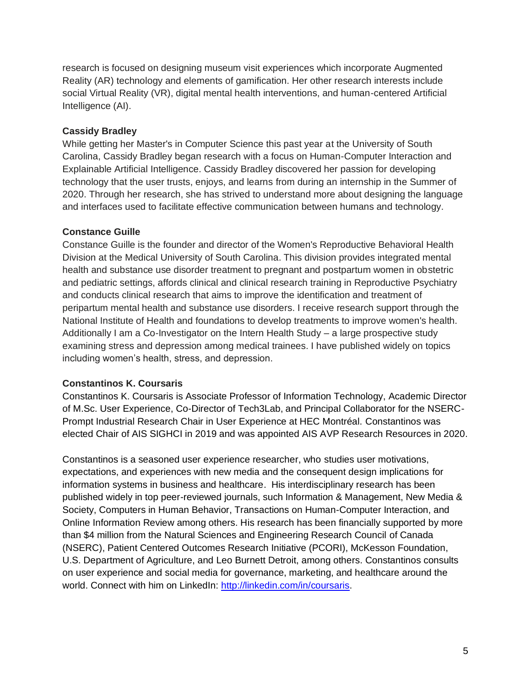research is focused on designing museum visit experiences which incorporate Augmented Reality (AR) technology and elements of gamification. Her other research interests include social Virtual Reality (VR), digital mental health interventions, and human-centered Artificial Intelligence (AI).

#### **Cassidy Bradley**

While getting her Master's in Computer Science this past year at the University of South Carolina, Cassidy Bradley began research with a focus on Human-Computer Interaction and Explainable Artificial Intelligence. Cassidy Bradley discovered her passion for developing technology that the user trusts, enjoys, and learns from during an internship in the Summer of 2020. Through her research, she has strived to understand more about designing the language and interfaces used to facilitate effective communication between humans and technology.

#### **Constance Guille**

Constance Guille is the founder and director of the Women's Reproductive Behavioral Health Division at the Medical University of South Carolina. This division provides integrated mental health and substance use disorder treatment to pregnant and postpartum women in obstetric and pediatric settings, affords clinical and clinical research training in Reproductive Psychiatry and conducts clinical research that aims to improve the identification and treatment of peripartum mental health and substance use disorders. I receive research support through the National Institute of Health and foundations to develop treatments to improve women's health. Additionally I am a Co-Investigator on the Intern Health Study – a large prospective study examining stress and depression among medical trainees. I have published widely on topics including women's health, stress, and depression.

# **Constantinos K. Coursaris**

Constantinos K. Coursaris is Associate Professor of Information Technology, Academic Director of M.Sc. User Experience, Co-Director of Tech3Lab, and Principal Collaborator for the NSERC-Prompt Industrial Research Chair in User Experience at HEC Montréal. Constantinos was elected Chair of AIS SIGHCI in 2019 and was appointed AIS AVP Research Resources in 2020.

Constantinos is a seasoned user experience researcher, who studies user motivations, expectations, and experiences with new media and the consequent design implications for information systems in business and healthcare. His interdisciplinary research has been published widely in top peer-reviewed journals, such Information & Management, New Media & Society, Computers in Human Behavior, Transactions on Human-Computer Interaction, and Online Information Review among others. His research has been financially supported by more than \$4 million from the Natural Sciences and Engineering Research Council of Canada (NSERC), Patient Centered Outcomes Research Initiative (PCORI), McKesson Foundation, U.S. Department of Agriculture, and Leo Burnett Detroit, among others. Constantinos consults on user experience and social media for governance, marketing, and healthcare around the world. Connect with him on LinkedIn: [http://linkedin.com/in/coursaris.](http://linkedin.com/in/coursaris)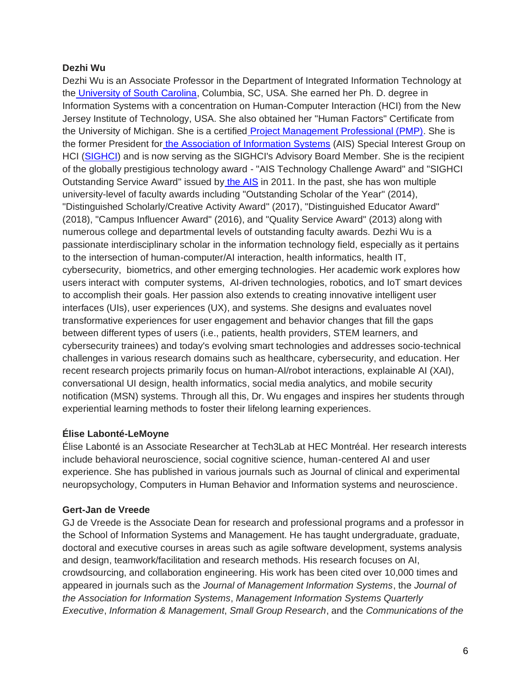#### **Dezhi Wu**

Dezhi Wu is an Associate Professor in the Department of Integrated Information Technology at the [University of South Carolina,](https://www.sc.edu/) Columbia, SC, USA. She earned her Ph. D. degree in Information Systems with a concentration on Human-Computer Interaction (HCI) from the New Jersey Institute of Technology, USA. She also obtained her "Human Factors'' Certificate from the University of Michigan. She is a certified [Project Management Professional \(PMP\).](https://www.pmi.org/certifications/types/project-management-pmp) She is the former President for [the Association of Information Systems](https://aisnet.org/page/AboutAIS) (AIS) Special Interest Group on HCI [\(SIGHCI\)](http://sighci.org/) and is now serving as the SIGHCI's Advisory Board Member. She is the recipient of the globally prestigious technology award - "AIS Technology Challenge Award'' and "SIGHCI Outstanding Service Award" issued by [the AIS](https://aisnet.org/page/AboutAIS) in 2011. In the past, she has won multiple university-level of faculty awards including "Outstanding Scholar of the Year" (2014), "Distinguished Scholarly/Creative Activity Award'' (2017), "Distinguished Educator Award" (2018), "Campus Influencer Award" (2016), and "Quality Service Award" (2013) along with numerous college and departmental levels of outstanding faculty awards. Dezhi Wu is a passionate interdisciplinary scholar in the information technology field, especially as it pertains to the intersection of human-computer/AI interaction, health informatics, health IT, cybersecurity, biometrics, and other emerging technologies. Her academic work explores how users interact with computer systems, AI-driven technologies, robotics, and IoT smart devices to accomplish their goals. Her passion also extends to creating innovative intelligent user interfaces (UIs), user experiences (UX), and systems. She designs and evaluates novel transformative experiences for user engagement and behavior changes that fill the gaps between different types of users (i.e., patients, health providers, STEM learners, and cybersecurity trainees) and today's evolving smart technologies and addresses socio-technical challenges in various research domains such as healthcare, cybersecurity, and education. Her recent research projects primarily focus on human-AI/robot interactions, explainable AI (XAI), conversational UI design, health informatics, social media analytics, and mobile security notification (MSN) systems. Through all this, Dr. Wu engages and inspires her students through experiential learning methods to foster their lifelong learning experiences.

# **Élise Labonté-LeMoyne**

Élise Labonté is an Associate Researcher at Tech3Lab at HEC Montréal. Her research interests include behavioral neuroscience, social cognitive science, human-centered AI and user experience. She has published in various journals such as Journal of clinical and experimental neuropsychology, Computers in Human Behavior and Information systems and neuroscience.

# **Gert-Jan de Vreede**

GJ de Vreede is the Associate Dean for research and professional programs and a professor in the School of Information Systems and Management. He has taught undergraduate, graduate, doctoral and executive courses in areas such as agile software development, systems analysis and design, teamwork/facilitation and research methods. His research focuses on AI, crowdsourcing, and collaboration engineering. His work has been cited over 10,000 times and appeared in journals such as the *Journal of Management Information Systems*, the *Journal of the Association for Information Systems*, *Management Information Systems Quarterly Executive*, *Information & Management*, *Small Group Research*, and the *Communications of the*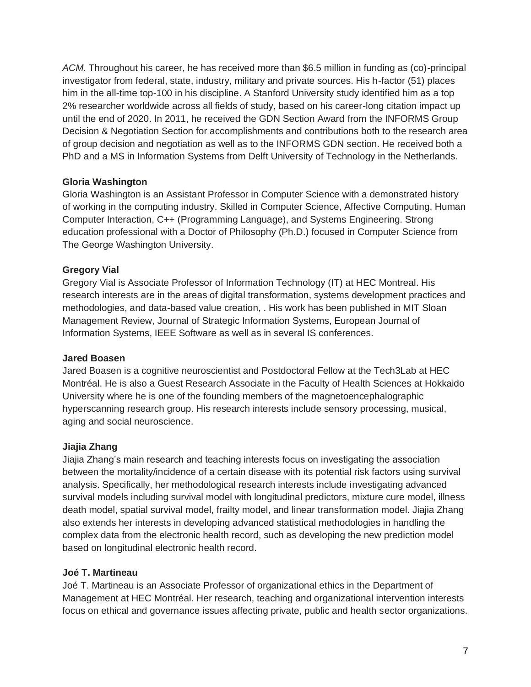*ACM*. Throughout his career, he has received more than \$6.5 million in funding as (co)-principal investigator from federal, state, industry, military and private sources. His h-factor (51) places him in the all-time top-100 in his discipline. A Stanford University study identified him as a top 2% researcher worldwide across all fields of study, based on his career-long citation impact up until the end of 2020. In 2011, he received the GDN Section Award from the INFORMS Group Decision & Negotiation Section for accomplishments and contributions both to the research area of group decision and negotiation as well as to the INFORMS GDN section. He received both a PhD and a MS in Information Systems from Delft University of Technology in the Netherlands.

# **Gloria Washington**

Gloria Washington is an Assistant Professor in Computer Science with a demonstrated history of working in the computing industry. Skilled in Computer Science, Affective Computing, Human Computer Interaction, C++ (Programming Language), and Systems Engineering. Strong education professional with a Doctor of Philosophy (Ph.D.) focused in Computer Science from The George Washington University.

# **Gregory Vial**

Gregory Vial is Associate Professor of Information Technology (IT) at HEC Montreal. His research interests are in the areas of digital transformation, systems development practices and methodologies, and data-based value creation, . His work has been published in MIT Sloan Management Review, Journal of Strategic Information Systems, European Journal of Information Systems, IEEE Software as well as in several IS conferences.

# **Jared Boasen**

Jared Boasen is a cognitive neuroscientist and Postdoctoral Fellow at the Tech3Lab at HEC Montréal. He is also a Guest Research Associate in the Faculty of Health Sciences at Hokkaido University where he is one of the founding members of the magnetoencephalographic hyperscanning research group. His research interests include sensory processing, musical, aging and social neuroscience.

# **Jiajia Zhang**

Jiajia Zhang's main research and teaching interests focus on investigating the association between the mortality/incidence of a certain disease with its potential risk factors using survival analysis. Specifically, her methodological research interests include investigating advanced survival models including survival model with longitudinal predictors, mixture cure model, illness death model, spatial survival model, frailty model, and linear transformation model. Jiajia Zhang also extends her interests in developing advanced statistical methodologies in handling the complex data from the electronic health record, such as developing the new prediction model based on longitudinal electronic health record.

# **Joé T. Martineau**

Joé T. Martineau is an Associate Professor of organizational ethics in the Department of Management at HEC Montréal. Her research, teaching and organizational intervention interests focus on ethical and governance issues affecting private, public and health sector organizations.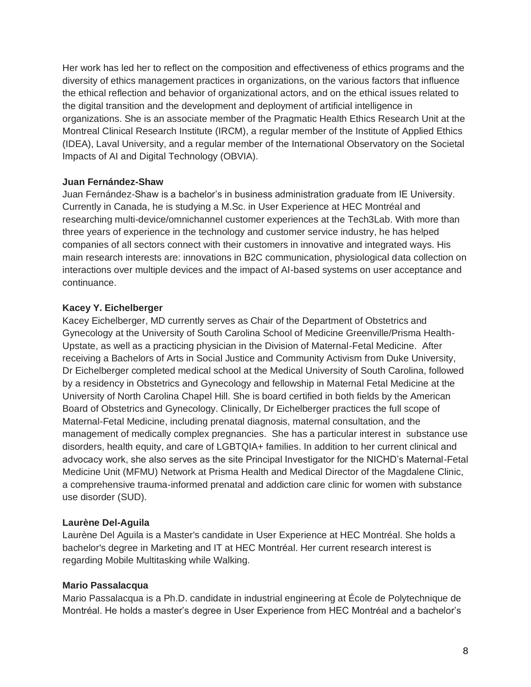Her work has led her to reflect on the composition and effectiveness of ethics programs and the diversity of ethics management practices in organizations, on the various factors that influence the ethical reflection and behavior of organizational actors, and on the ethical issues related to the digital transition and the development and deployment of artificial intelligence in organizations. She is an associate member of the Pragmatic Health Ethics Research Unit at the Montreal Clinical Research Institute (IRCM), a regular member of the Institute of Applied Ethics (IDEA), Laval University, and a regular member of the International Observatory on the Societal Impacts of AI and Digital Technology (OBVIA).

#### **Juan Fernández-Shaw**

Juan Fernández-Shaw is a bachelor's in business administration graduate from IE University. Currently in Canada, he is studying a M.Sc. in User Experience at HEC Montréal and researching multi-device/omnichannel customer experiences at the Tech3Lab. With more than three years of experience in the technology and customer service industry, he has helped companies of all sectors connect with their customers in innovative and integrated ways. His main research interests are: innovations in B2C communication, physiological data collection on interactions over multiple devices and the impact of AI-based systems on user acceptance and continuance.

# **Kacey Y. Eichelberger**

Kacey Eichelberger, MD currently serves as Chair of the Department of Obstetrics and Gynecology at the University of South Carolina School of Medicine Greenville/Prisma Health-Upstate, as well as a practicing physician in the Division of Maternal-Fetal Medicine. After receiving a Bachelors of Arts in Social Justice and Community Activism from Duke University, Dr Eichelberger completed medical school at the Medical University of South Carolina, followed by a residency in Obstetrics and Gynecology and fellowship in Maternal Fetal Medicine at the University of North Carolina Chapel Hill. She is board certified in both fields by the American Board of Obstetrics and Gynecology. Clinically, Dr Eichelberger practices the full scope of Maternal-Fetal Medicine, including prenatal diagnosis, maternal consultation, and the management of medically complex pregnancies. She has a particular interest in substance use disorders, health equity, and care of LGBTQIA+ families. In addition to her current clinical and advocacy work, she also serves as the site Principal Investigator for the NICHD's Maternal-Fetal Medicine Unit (MFMU) Network at Prisma Health and Medical Director of the Magdalene Clinic, a comprehensive trauma-informed prenatal and addiction care clinic for women with substance use disorder (SUD).

# **Laurène Del-Aguila**

Laurène Del Aguila is a Master's candidate in User Experience at HEC Montréal. She holds a bachelor's degree in Marketing and IT at HEC Montréal. Her current research interest is regarding Mobile Multitasking while Walking.

# **Mario Passalacqua**

Mario Passalacqua is a Ph.D. candidate in industrial engineering at École de Polytechnique de Montréal. He holds a master's degree in User Experience from HEC Montréal and a bachelor's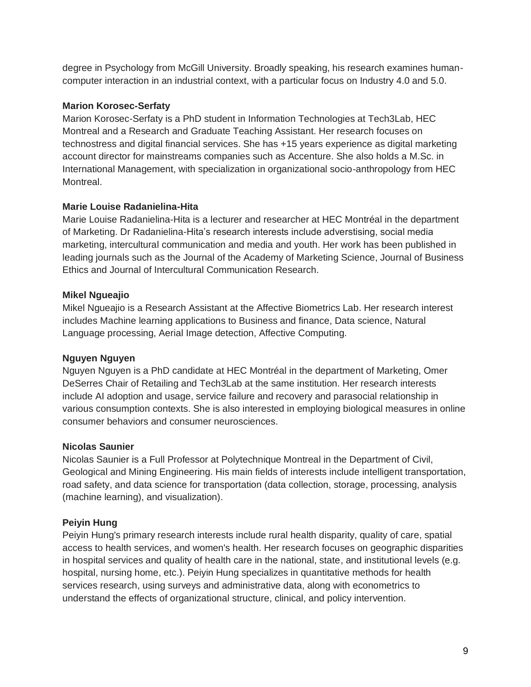degree in Psychology from McGill University. Broadly speaking, his research examines humancomputer interaction in an industrial context, with a particular focus on Industry 4.0 and 5.0.

#### **Marion Korosec-Serfaty**

Marion Korosec-Serfaty is a PhD student in Information Technologies at Tech3Lab, HEC Montreal and a Research and Graduate Teaching Assistant. Her research focuses on technostress and digital financial services. She has +15 years experience as digital marketing account director for mainstreams companies such as Accenture. She also holds a M.Sc. in International Management, with specialization in organizational socio-anthropology from HEC Montreal.

#### **Marie Louise Radanielina-Hita**

Marie Louise Radanielina-Hita is a lecturer and researcher at HEC Montréal in the department of Marketing. Dr Radanielina-Hita's research interests include adverstising, social media marketing, intercultural communication and media and youth. Her work has been published in leading journals such as the Journal of the Academy of Marketing Science, Journal of Business Ethics and Journal of Intercultural Communication Research.

#### **Mikel Ngueajio**

Mikel Ngueajio is a Research Assistant at the Affective Biometrics Lab. Her research interest includes Machine learning applications to Business and finance, Data science, Natural Language processing, Aerial Image detection, Affective Computing.

# **Nguyen Nguyen**

Nguyen Nguyen is a PhD candidate at HEC Montréal in the department of Marketing, Omer DeSerres Chair of Retailing and Tech3Lab at the same institution. Her research interests include AI adoption and usage, service failure and recovery and parasocial relationship in various consumption contexts. She is also interested in employing biological measures in online consumer behaviors and consumer neurosciences.

#### **Nicolas Saunier**

Nicolas Saunier is a Full Professor at Polytechnique Montreal in the Department of Civil, Geological and Mining Engineering. His main fields of interests include intelligent transportation, road safety, and data science for transportation (data collection, storage, processing, analysis (machine learning), and visualization).

# **Peiyin Hung**

Peiyin Hung's primary research interests include rural health disparity, quality of care, spatial access to health services, and women's health. Her research focuses on geographic disparities in hospital services and quality of health care in the national, state, and institutional levels (e.g. hospital, nursing home, etc.). Peiyin Hung specializes in quantitative methods for health services research, using surveys and administrative data, along with econometrics to understand the effects of organizational structure, clinical, and policy intervention.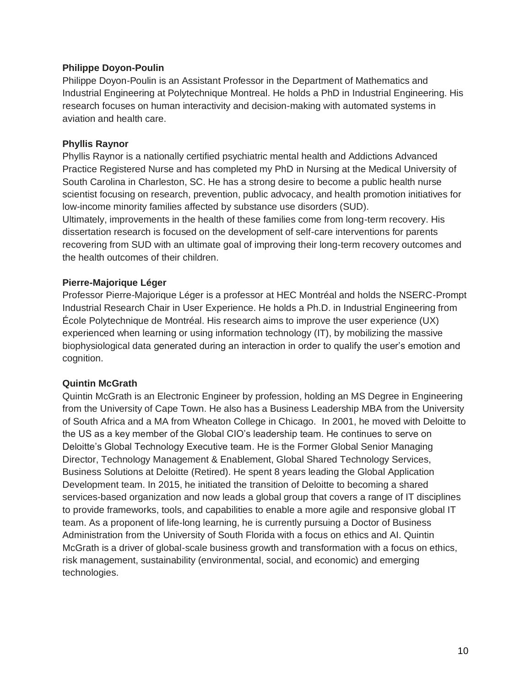#### **Philippe Doyon-Poulin**

Philippe Doyon-Poulin is an Assistant Professor in the Department of Mathematics and Industrial Engineering at Polytechnique Montreal. He holds a PhD in Industrial Engineering. His research focuses on human interactivity and decision-making with automated systems in aviation and health care.

#### **Phyllis Raynor**

Phyllis Raynor is a nationally certified psychiatric mental health and Addictions Advanced Practice Registered Nurse and has completed my PhD in Nursing at the Medical University of South Carolina in Charleston, SC. He has a strong desire to become a public health nurse scientist focusing on research, prevention, public advocacy, and health promotion initiatives for low-income minority families affected by substance use disorders (SUD).

Ultimately, improvements in the health of these families come from long-term recovery. His dissertation research is focused on the development of self-care interventions for parents recovering from SUD with an ultimate goal of improving their long-term recovery outcomes and the health outcomes of their children.

#### **Pierre-Majorique Léger**

Professor Pierre-Majorique Léger is a professor at HEC Montréal and holds the NSERC-Prompt Industrial Research Chair in User Experience. He holds a Ph.D. in Industrial Engineering from École Polytechnique de Montréal. His research aims to improve the user experience (UX) experienced when learning or using information technology (IT), by mobilizing the massive biophysiological data generated during an interaction in order to qualify the user's emotion and cognition.

#### **Quintin McGrath**

Quintin McGrath is an Electronic Engineer by profession, holding an MS Degree in Engineering from the University of Cape Town. He also has a Business Leadership MBA from the University of South Africa and a MA from Wheaton College in Chicago. In 2001, he moved with Deloitte to the US as a key member of the Global CIO's leadership team. He continues to serve on Deloitte's Global Technology Executive team. He is the Former Global Senior Managing Director, Technology Management & Enablement, Global Shared Technology Services, Business Solutions at Deloitte (Retired). He spent 8 years leading the Global Application Development team. In 2015, he initiated the transition of Deloitte to becoming a shared services-based organization and now leads a global group that covers a range of IT disciplines to provide frameworks, tools, and capabilities to enable a more agile and responsive global IT team. As a proponent of life-long learning, he is currently pursuing a Doctor of Business Administration from the University of South Florida with a focus on ethics and AI. Quintin McGrath is a driver of global-scale business growth and transformation with a focus on ethics, risk management, sustainability (environmental, social, and economic) and emerging technologies.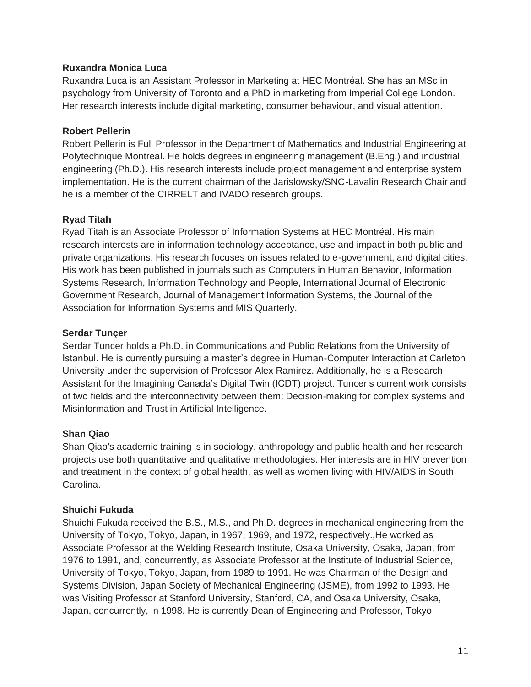#### **Ruxandra Monica Luca**

Ruxandra Luca is an Assistant Professor in Marketing at HEC Montréal. She has an MSc in psychology from University of Toronto and a PhD in marketing from Imperial College London. Her research interests include digital marketing, consumer behaviour, and visual attention.

#### **Robert Pellerin**

Robert Pellerin is Full Professor in the Department of Mathematics and Industrial Engineering at Polytechnique Montreal. He holds degrees in engineering management (B.Eng.) and industrial engineering (Ph.D.). His research interests include project management and enterprise system implementation. He is the current chairman of the Jarislowsky/SNC-Lavalin Research Chair and he is a member of the CIRRELT and IVADO research groups.

# **Ryad Titah**

Ryad Titah is an Associate Professor of Information Systems at HEC Montréal. His main research interests are in information technology acceptance, use and impact in both public and private organizations. His research focuses on issues related to e-government, and digital cities. His work has been published in journals such as Computers in Human Behavior, Information Systems Research, Information Technology and People, International Journal of Electronic Government Research, Journal of Management Information Systems, the Journal of the Association for Information Systems and MIS Quarterly.

#### **Serdar Tunçer**

Serdar Tuncer holds a Ph.D. in Communications and Public Relations from the University of Istanbul. He is currently pursuing a master's degree in Human-Computer Interaction at Carleton University under the supervision of Professor Alex Ramirez. Additionally, he is a Research Assistant for the Imagining Canada's Digital Twin (ICDT) project. Tuncer's current work consists of two fields and the interconnectivity between them: Decision-making for complex systems and Misinformation and Trust in Artificial Intelligence.

# **Shan Qiao**

Shan Qiao's academic training is in sociology, anthropology and public health and her research projects use both quantitative and qualitative methodologies. Her interests are in HIV prevention and treatment in the context of global health, as well as women living with HIV/AIDS in South Carolina.

# **Shuichi Fukuda**

Shuichi Fukuda received the B.S., M.S., and Ph.D. degrees in mechanical engineering from the University of Tokyo, Tokyo, Japan, in 1967, 1969, and 1972, respectively.,He worked as Associate Professor at the Welding Research Institute, Osaka University, Osaka, Japan, from 1976 to 1991, and, concurrently, as Associate Professor at the Institute of Industrial Science, University of Tokyo, Tokyo, Japan, from 1989 to 1991. He was Chairman of the Design and Systems Division, Japan Society of Mechanical Engineering (JSME), from 1992 to 1993. He was Visiting Professor at Stanford University, Stanford, CA, and Osaka University, Osaka, Japan, concurrently, in 1998. He is currently Dean of Engineering and Professor, Tokyo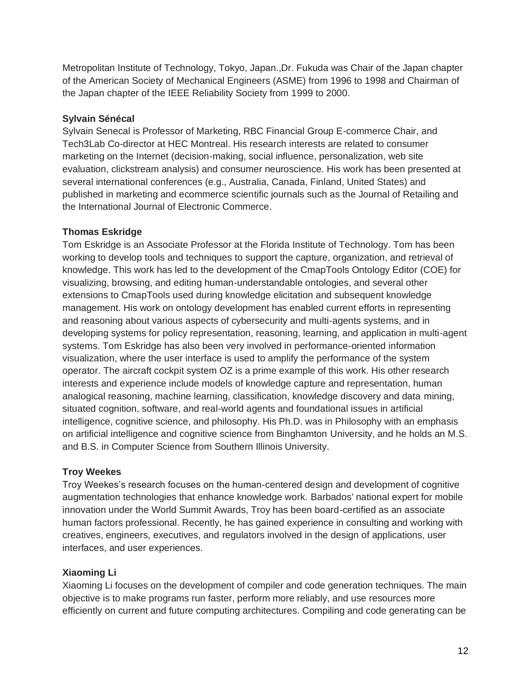Metropolitan Institute of Technology, Tokyo, Japan.,Dr. Fukuda was Chair of the Japan chapter of the American Society of Mechanical Engineers (ASME) from 1996 to 1998 and Chairman of the Japan chapter of the IEEE Reliability Society from 1999 to 2000.

# **Sylvain Sénécal**

Sylvain Senecal is Professor of Marketing, RBC Financial Group E-commerce Chair, and Tech3Lab Co-director at HEC Montreal. His research interests are related to consumer marketing on the Internet (decision-making, social influence, personalization, web site evaluation, clickstream analysis) and consumer neuroscience. His work has been presented at several international conferences (e.g., Australia, Canada, Finland, United States) and published in marketing and ecommerce scientific journals such as the Journal of Retailing and the International Journal of Electronic Commerce.

# **Thomas Eskridge**

Tom Eskridge is an Associate Professor at the Florida Institute of Technology. Tom has been working to develop tools and techniques to support the capture, organization, and retrieval of knowledge. This work has led to the development of the CmapTools Ontology Editor (COE) for visualizing, browsing, and editing human-understandable ontologies, and several other extensions to CmapTools used during knowledge elicitation and subsequent knowledge management. His work on ontology development has enabled current efforts in representing and reasoning about various aspects of cybersecurity and multi-agents systems, and in developing systems for policy representation, reasoning, learning, and application in multi-agent systems. Tom Eskridge has also been very involved in performance-oriented information visualization, where the user interface is used to amplify the performance of the system operator. The aircraft cockpit system OZ is a prime example of this work. His other research interests and experience include models of knowledge capture and representation, human analogical reasoning, machine learning, classification, knowledge discovery and data mining, situated cognition, software, and real-world agents and foundational issues in artificial intelligence, cognitive science, and philosophy. His Ph.D. was in Philosophy with an emphasis on artificial intelligence and cognitive science from Binghamton University, and he holds an M.S. and B.S. in Computer Science from Southern Illinois University.

# **Troy Weekes**

Troy Weekes's research focuses on the human-centered design and development of cognitive augmentation technologies that enhance knowledge work. Barbados' national expert for mobile innovation under the World Summit Awards, Troy has been board-certified as an associate human factors professional. Recently, he has gained experience in consulting and working with creatives, engineers, executives, and regulators involved in the design of applications, user interfaces, and user experiences.

# **Xiaoming Li**

Xiaoming Li focuses on the development of compiler and code generation techniques. The main objective is to make programs run faster, perform more reliably, and use resources more efficiently on current and future computing architectures. Compiling and code generating can be